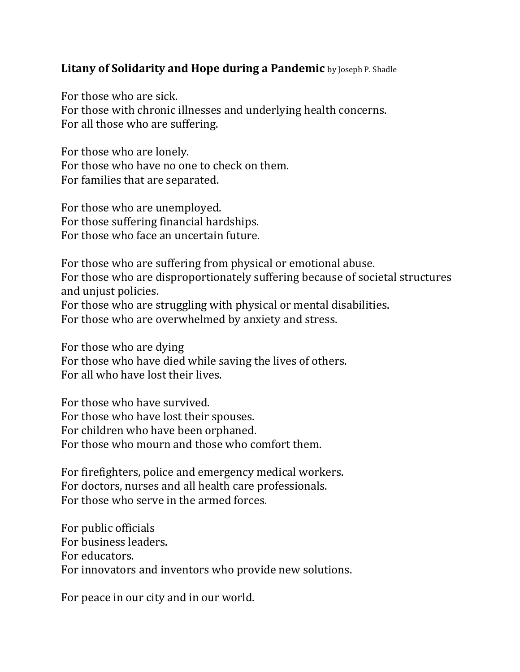## **Litany of Solidarity and Hope during a Pandemic** by Joseph P. Shadle

For those who are sick. For those with chronic illnesses and underlying health concerns. For all those who are suffering.

For those who are lonely. For those who have no one to check on them. For families that are separated.

For those who are unemployed. For those suffering financial hardships. For those who face an uncertain future.

For those who are suffering from physical or emotional abuse. For those who are disproportionately suffering because of societal structures and unjust policies. For those who are struggling with physical or mental disabilities.

For those who are overwhelmed by anxiety and stress.

For those who are dying For those who have died while saving the lives of others. For all who have lost their lives.

For those who have survived. For those who have lost their spouses. For children who have been orphaned. For those who mourn and those who comfort them.

For firefighters, police and emergency medical workers. For doctors, nurses and all health care professionals. For those who serve in the armed forces.

For public officials For business leaders. For educators. For innovators and inventors who provide new solutions.

For peace in our city and in our world.